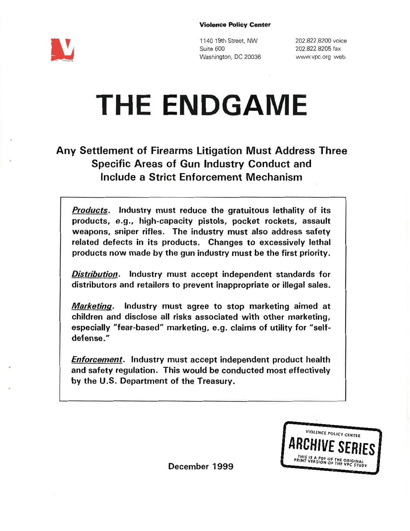U

1140 19th Street, NW Suite 600 Washington, DC 20036 202.822.8200 voice 202.822,8205 fax wwwvpc.org web

# THE ENDGAME

## Any Settlement of Firearms Litigation Must Address Three Specific Areas of Gun lndustry Conduct and lnclude a Strict Enforcement Mechanism

**Products.** Industry must reduce the gratuitous lethality of its products, e.g., high-capacity pistols, pocket rockets, assault weapons, sniper rifles. The industry must also address safety related defects in its products. Changes to excessively lethal products now made by the gun industry must be the first priority.

Distribution. lndustry must accept independent standards for distributors and retailers to prevent inappropriate or illegal sates.

Marketing. Industry must agree to stop marketing aimed at children and disclose all risks associated with other marketing, especially "fear-based" marketing, e.g. claims of utility for "selfdefense."

Enforcement. lndustry must accept independent product health and safety regulation. This would be conducted most effectively by the U.S. Department of the Treasury.



December 1999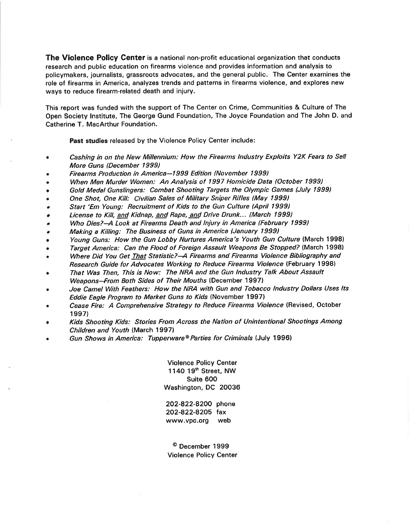The Violence Policy Genter is a national non-profit educational organization that conducts research and public education on firearms violence and provides information and analysis to policymakers, journalists, grassroots advocates, and the general public. The Center examines the role of firearms in America, analyzes trends and patterns in firearms violence, and explores new ways to reduce firearm-related death and injury.

This report was funded with the support of The Center on Crime, Communities & Culture of The Open Society lnstitute, The George Gund Foundation, The Joyce Foundation and The John D. and Catherine T. MacArthur Foundation.

Past studies released by the Violence Policy Center include:

- a Cashing in on the New Millennium: How the Firearms lndustry Exploits Y2K Fears to Sell More Guns (December 1999)
- Firearms Production in America-1999 Edition (November 1999)
- When Men Murder Women: An Analysis of 1997 Homicide Data (October 1999)
- Gold Medal Gunslingers: Combat Shooting Targets the Olympic Games (July 1999)
- One Shot, One Kill: Civilian Sales of Military Sniper Rifles (May 1999)
- Start'Em Young: Recruitment of Kids to the Gun Culture (April 1999)
- License to Kill, and Kidnap, and Rape, and Drive Drunk... (March 1999)
- Who Dies?-A Look at Firearms Death and Injury in America (February 1999)
- Making a Killing: The Business of Guns in America (January 1999)
- Young Guns: How the Gun Lobby Nurtures America's Youth Gun Culture (March 1998)
- Target America: Can the Flood of Foreign Assault Weapons Be Stopped? (March 1998)
- Where Did You Get That Statistic?-A Firearms and Firearms Violence Bibliography and Research Guide for Advocates Working to Reduce Firearms Violence (February 1998)
- That Was Then, This is Now: The NRA and the Gun lndustry Talk About Assault Weapons-From Both Sides of Their Mouths (December 1997)
- Joe Camel With Feathers: How the NRA with Gun and Tobacco lndustry Dollars Uses /fs Eddie Eagle Program to Market Guns to Kids (November 1997) a
- Cease Fire: A Comprehensive Strategy to Reduce Firearms Violence (Revised, October <sup>1</sup>997) a
- Kids Shooting Kids: Stories From Across the Nation of Unintentional Shootings Among Children and Youth (March 1997) a
- Gun Shows in America: Tupperware@ Parties for Criminals (July 1996) a

Violence Policy Center 1140 19th Street, NW Suite 600 Washington, DC 20036

202-822-8200 phone 202-822-8205 fax www,vpc,org web

@ December 1999 Violence Policy Center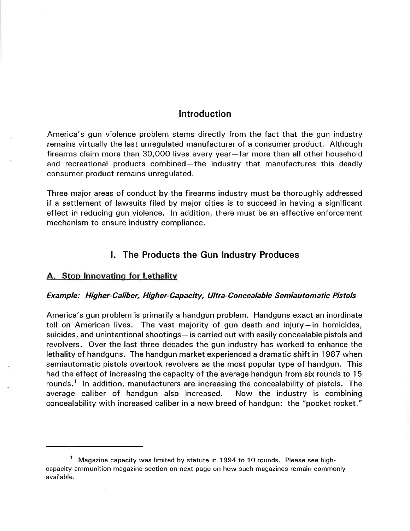## **Introduction**

America's gun violence problem stems directly from the fact that the gun industry remains virtually the last unregulated manufacturer of a consumer product. Although firearms claim more than 30,000 lives every year-far more than all other household and recreational products combined-the industry that manufactures this deadly consumer product remains unregulated.

Three major areas of conduct by the firearms industry must be thoroughly addressed if a settlement of lawsuits filed by major cities is to succeed in having a significant effect in reducing gun violence. ln addition, there must be an effective enforcement mechanism to ensure industry compliance.

## l. The Products the Gun Industry Produces

## A. Stop lnnovating for Lethality

## Example: Higher-Caliber, Higher-Capacity, Ultra-Concealable Semiautomatic Pistols

America's gun problem is primarily a handgun problem. Handguns exact an inordinate toll on American lives. The vast majority of gun death and injury-in homicides, suicides, and unintentional shootings-is carried out with easily concealable pistols and revolvers. Over the last three decades the gun industry has worked to enhance the lethality of handguns. The handgun market experienced a dramatic shift in 1987 when semiautomatic pistols overtook revolvers as the most popular type of handgun. This had the effect of increasing the capacity of the average handgun from six rounds to 15 rounds.<sup>1</sup> In addition, manufacturers are increasing the concealability of pistols. The average caliber of handgun also increased. Now the industry is combining concealability with increased caliber in a new breed of handgun: the "pocket rocket."

<sup>&</sup>lt;sup>1</sup> Magazine capacity was limited by statute in 1994 to 10 rounds. Please see highcapacity ammunition magazine section on next page on how such magazines remain commonly available.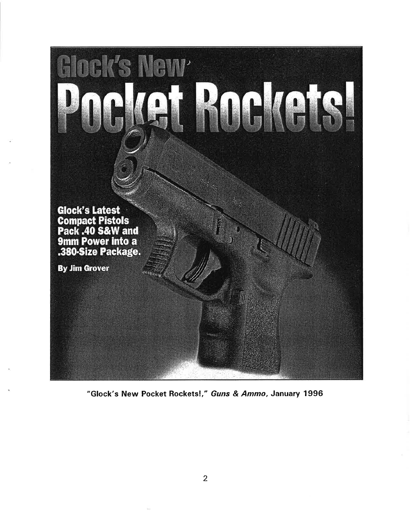

"Glock's New Pocket Rocketsl," Guns & Ammo, January 1996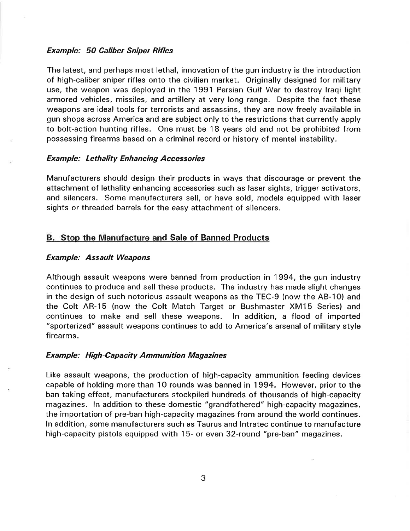## Example: 5O Caliber Sniper Rifles

The latest, and perhaps most lethal, innovation of the gun industry is the introduction of high-caliber sniper rifles onto the civilian market. Originally designed for military use, the weapon was deployed in the 1991 Persian Gulf War to destroy lraqi light armored vehicles, missiles, and artillery at very long range. Despite the fact these weapons are ideal tools for terrorists and assassins, they are now freely available in gun shops across America and are subject only to the restrictions that currently apply to bolt-action hunting rifles. One must be 18 years old and not be prohibited from possessing firearms based on a criminal record or history of mental instability.

## Example: Lethality Enhancing Accessories

Manufacturers should design their products in ways that discourage or prevent the attachment of lethality enhancing accessories such as laser sights, trigger activators, and silencers. Some manufacturers sell, or have sold, models equipped with laser sights or threaded barrels for the easy attachment of silencers.

## B. Stop the Manufacture and Sale of Banned Products

## Example: Assault Weapons

Although assault weapons were banned from production in 1994, the gun industry continues to produce and sell these products. The industry has made slight changes in the design of such notorious assault weapons as the TEC-9 (now the AB-1O) and the Colt AR-15 (now the Colt Match Target or Bushmaster XMl5 Series) and continues to make and sell these weapons. ln addition, a flood of imported "sporterized" assault weapons continues to add to America's arsenal of military style firearms.

#### Example: High-Capacity Ammunition Magazines

Like assault weapons, the production of high-capacity ammunition feeding devices capable of holding more than 1O rounds was banned in 1994. However, prior to the ban taking effect, manufacturers stockpiled hundreds of thousands of high-capacity magazines. ln addition to these domestic "grandfathered" high-capacity magazines, the importation of pre-ban high-capacity magazines from around the world continues. ln addition, some manufacturers such as Taurus and lntratec continue to manufacture high-capacity pistols equipped with 15- or even 32-round "pre-ban" magazines.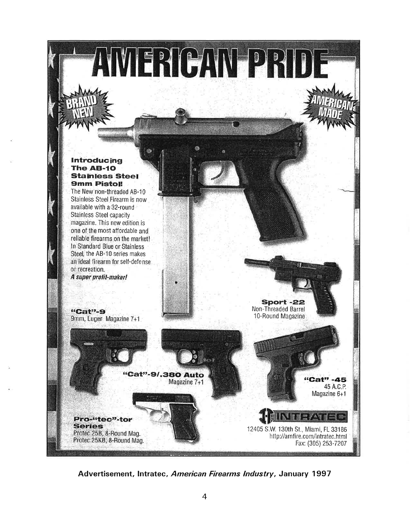

Advertisement, Intratec, American Firearms Industry, January 1997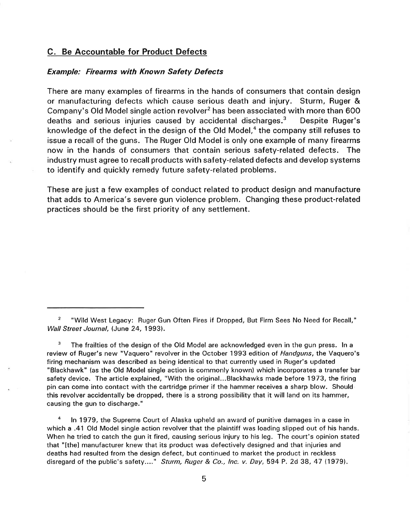## C. Be Accountable for Product Defects

#### Example: Firearms with Known Safety Defects

There are many examples of firearms in the hands of consumers that contain design or manufacturing defects which cause serious death and injury. Sturm, Ruger & Company's Old Model single action revolver<sup>2</sup> has been associated with more than 600 deaths and serious injuries caused by accidental discharges.<sup>3</sup> Despite Ruger's knowledge of the defect in the design of the Old Model, $4$  the company still refuses to issue a recall of the guns. The Ruger Old Model is only one example of many firearms now in the hands of consumers that contain serious safety-related defects. The industry must agree to recall products with safety-related defects and develop systems to identify and quickly remedy future safety-related problems.

These are just a few examples of conduct related to product design and manufacture that adds to America's severe gun violence problem. Changing these product-related practices should be the first priority of any settlement.

 $4$  In 1979, the Supreme Court of Alaska upheld an award of punitive damages in a case in which a .41 Old Model single action revolver that the plaintiff was loading slipped out of his hands. When he tried to catch the gun it fired, causing serious injury to his leg. The court's opinion stated that "[the] manufacturer knew that its product was defectively designed and that injuries and deaths had resulted from the design defect, but continued to market the product in reckless disregard of the public's safety...." Sturm, Ruger & Co., Inc. v. Day, 594 P. 2d 38, 47 (1979).

<sup>2</sup> "Wild West Legacy: Ruger Gun Often Fires if Dropped, But Firm Sees No Need for Recall," Wall Street Journal, (June 24, 1993).

 $3$  The frailties of the design of the Old Model are acknowledged even in the gun press. In a review of Ruger's new "Vaquero" revolver in the October 1993 edition of *Handguns*, the Vaquero's firing mechanism was described as being identical to that currently used in Ruger's updated "Blackhawk" (as the Old Model single action is commonly known) which incorporates a transfer bar safety device. The article explained, "With the original...Blackhawks made before 1973, the firing pin can come into contact with the cartridge primer if the hammer receives a sharp blow. Should this revolver accidentally be dropped, there is a strong possibility that it will land on its hammer, causing the gun to discharge."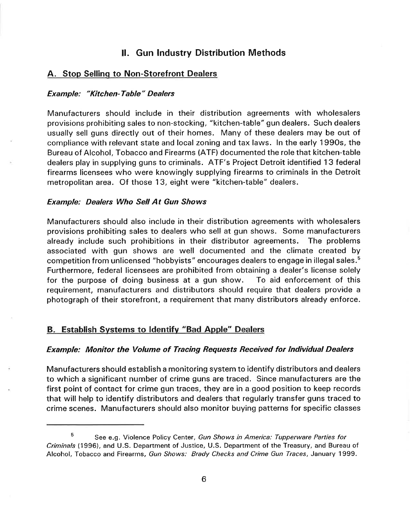## ll. Gun lndustry Distribution Methods

## A. Stop Sellinq to Non-Storefront Dealers

#### Example: "Kitchen-Table" Dealers

Manufacturers should include in their distribution agreements with wholesalers provisions prohibiting sales to non-stocking, "kitchen-table" gun dealers. Such dealers usually sell guns directly out of their homes. Many of these dealers may be out of compliance with relevant state and local zoning and tax laws. ln the early 199Os, the Bureau of Alcohol, Tobacco and Firearms (ATF) documented the role that kitchen-table dealers play in supplying guns to criminals. ATF's Project Detroit identified 13 federal firearms licensees who were knowingly supplying firearms to criminals in the Detroit metropolitan area. Of those 13, eight were "kitchen-table" dealers.

#### Example: Dealers Who Sell At Gun Shows

Manufacturers should also include in their distribution agreements with wholesalers provisions prohibiting sales to dealers who sell at gun shows. Some manufacturers already include such prohibitions in their distributor agreements. The problems associated with gun shows are well documented and the climate created by competition from unlicensed "hobbyists" encourages dealers to engage in illegal sales.<sup>5</sup> Furthermore, federal licensees are prohibited from obtaining a dealer's license solely for the purpose of doing business at a gun show. To aid enforcement of this requirement, manufacturers and distributors should require that dealers provide <sup>a</sup> photograph of their storefront, a requirement that many distributors already enforce.

## B. Establish Svstems to ldentify "Bad Apple" Dealers

### Example: Monitor the Volume of Tracing Reguests Received for Individual Dealers

Manufacturers should establish a monitoring system to identify distributors and dealers to which a significant number of crime guns are traced. Since manufacturers are the first point of contact for crime gun traces, they are in a good position to keep records that will help to identify distributors and dealers that regularly transfer guns traced to crime scenes. Manufacturers should also monitor buying patterns for specific classes

 $5$  See e.g. Violence Policy Center, Gun Shows in America: Tupperware Parties for Criminals (1996), and U.S. Department of Justice, U.S. Department of the Treasury, and Bureau of Alcohol, Tobacco and Firearms, Gun Shows: Brady Checks and Crime Gun Traces, January 1999.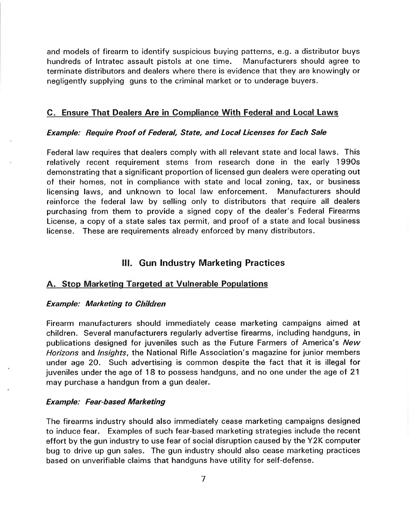and models of firearm to identify suspicious buying patterns, e.g. a distributor buys hundreds of lntratec assault pistols at one time. Manufacturers should agree to terminate distributors and dealers where there is'evidence that they are knowingly or negligently supplying guns to the criminal market or to underage buyers.

## C. Ensure That Dealers Are in Compliance With Federal and Local Laws

## Example: Require Proof of Federal, State, and Local Licenses for Each Sale

Federal law requires that dealers comply with all relevant state and local laws. This relatively recent requirement stems from research done in the early 1990s demonstrating that a significant proportion of licensed gun dealers were operating out of their homes, not in compliance with state and local zoning, tax, or business licensing laws, and unknown to local law enforcement. Manufacturers should reinforce the federal law by selling only to distributors that require all dealers purchasing from them to provide a signed copy of the dealer's Federal Firearms License, a copy of a state sales tax permit, and proof of a state and local business license. These are requirements already enforced by many distributors.

## lll. Gun lndustry Marketing Practices

## A. Stop Marketing Targeted at Vulnerable Populations

#### Example: Marketing to Children

Firearm manufacturers should immediately cease marketing campaigns aimed at children. Several manufacturers regularly advertise firearms, including handguns, in publications designed for juveniles such as the Future Farmers of America's New Horizons and *Insights*, the National Rifle Association's magazine for junior members under age 20. Such advertising is common despite the fact that it is illegal for juveniles under the age of 18 to possess handguns, and no one under the age of 21 may purchase a handgun from a gun dealer.

#### Example: Fear-based Marketing

The firearms industry should also immediately cease marketing campaigns designed to induce fear. Examples of such fear-based marketing strategies include the recent effort by the gun industry to use fear of social disruption caused by the Y2K computer bug to drive up gun sales. The gun industry should also cease marketing practices based on unverifiable claims that handguns have utility for self-defense.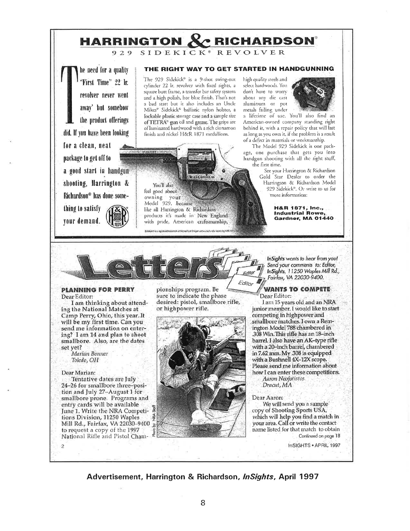#### **HARRINGTON X** \* RICHARDSON®

SIDEKICK<sup>®</sup> REVOLVER 929

he need for a quality "First Time" 22 Ir. revolver never went away' but somehow the product offerings did. If you have been looking for a clean, neat package to get off to a good start in handgun shooting, Harrington & Richardson<sup>®</sup> has done something to satisfy vour demand.

THE RIGHT WAY TO GET STARTED IN HANDGUNNING

The 929 Sidekick<sup>\*</sup> is a 9-shot swing-out cylinder 22 lr. revolver with fixed sights, a square butt frame, a transfer bar safety system and a high polish, hor blue finish. That's not a bad start but it also includes an Uncle Mikes® Sidekick® ballistic nylon holster, a lockable plastic storage case and a sample size of TETRA\* gun oil and grease. The grips are of laminated hardwood with a rich cinnamon finish and nickel H&R 1871 medallions.

high quality steels and select hardwoods. You don't have to worry about any die cast aluminum or pot metals failing under



a lifetime of use. You'll also find an American-owned company standing right behind it, with a repair policy that will last as long as you own it, if the problem is a result of a defect in materials or workmanship.

The Model 929 Sidekick is one package, one purchase that gets you into handgun shooting with all the right stuff, the first time.

> See your Harrington & Richardson Gold Star Dealer to order the Harrington & Richardson Model 929 Sidekick<sup>®</sup>. Or write to us for more information:

> > H&R 1871, Inc., **Industrial Rowe** Gardner, MA 01440



**HAUDIOST** 

You'll also

owning your

like all Harrington & Richardson

products it's made in New England

with pride, American craftsmanship, Scolars is a registered tradematik of Microal's of Origion and wicked and in Kelose by NAR 1871.

feel good about

#### InSights wants to hear from you! Send your comments to: Editor, InSights, 11250 Waples Mill Rd., Fairfax, VA 22030-9400.

#### **PLANNING FOR PERRY** Dear Editor:

I am thinking about attending the National Matches at Camp Perry, Ohio, this year. It will be my first time. Can you send me information on entering? I am 14 and plan to shoot smallbore. Also, are the dates set yet?

Marian Bonner Toledo, OH

#### Dear Marian:

Tentative dates are July 24-26 for smallbore three-position and July 27-August 1 for smallbore prone. Programs and entry cards will be available June 1. Write the NRA Competitions Division, 11250 Waples Mill Rd., Fairfax, VA 22030-9400 to request a copy of the 1997 National Rifle and Pistol Cham-

pionships program. Be sure to indicate the phase desired: pistol, smallbore rifle, or highpower rifle.



#### **WANTS TO COMPETE** Dear Editor:

I am 15 years old and an NRA junior member. I would like to start competing in highpower and smallbore matches. I own a Remington Model 788 chambered in .308 Win. This rifle has an 18-inch barrel. I also have an AK-type rifle with a 20-inch barrel, chambered in 7.62 mm. My .308 is equipped<br>with a Bushnell 4X-12X scope. Please send me information about how I can enter these competitions. **Aaron Neofotistos** Dracut, MA

Dear Aaron: We will send you a sample copy of Shooting Sports USA, which will help you find a match in your area. Call or write the contactname listed for that match to obtain Continued on page 18

InSIGHTS . APRIL 1997

Advertisement, Harrington & Richardson, *InSights*, April 1997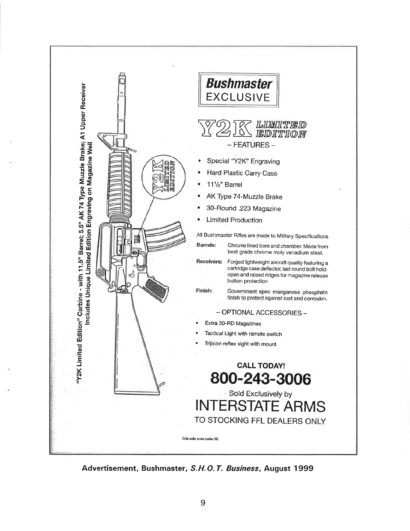

Advertisement, Bushmaster, S.H.O.T. Business, August 1999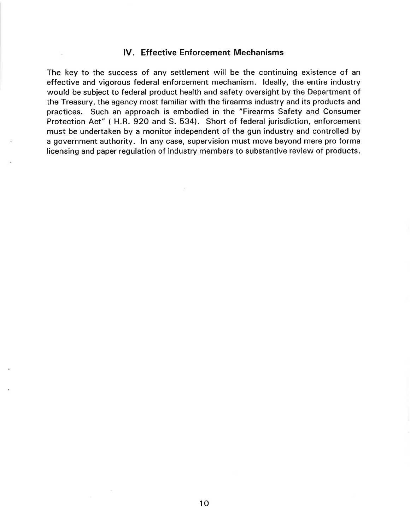## lV. Effective Enforcement Mechanisms

b.

The key to the success of any settlement will be the continuing existence of an effective and vigorous federal enforcement mechanism. ldeally, the entire industry would be subject to federal product health and safety oversight by the Department of the Treasury, the agency most familiar with the firearms industry and its products and practices. Such an approach is embodied in the "Firearms Safety and Consumer Protection Act" { H.R. 920 and S. 534). Short of federal jurisdiction, enforcement must be undertaken by a monitor independent of the gun industry and controlled by a government authority. ln any case, supervision must move beyond mere pro forma licensing and paper regulation of industry members to substantive review of products.